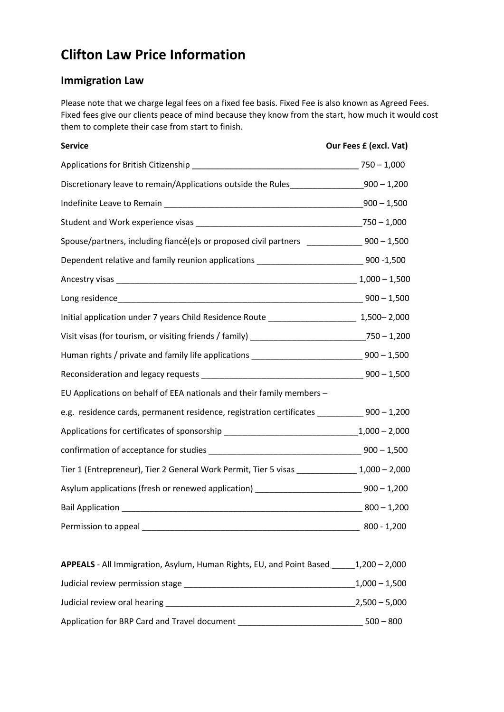# **Clifton Law Price Information**

# **Immigration Law**

Please note that we charge legal fees on a fixed fee basis. Fixed Fee is also known as Agreed Fees. Fixed fees give our clients peace of mind because they know from the start, how much it would cost them to complete their case from start to finish.

| <b>Service</b>                                                                                | Our Fees £ (excl. Vat) |
|-----------------------------------------------------------------------------------------------|------------------------|
|                                                                                               |                        |
| Discretionary leave to remain/Applications outside the Rules__________________900 - 1,200     |                        |
|                                                                                               |                        |
|                                                                                               |                        |
| Spouse/partners, including fiancé(e)s or proposed civil partners _______________900 - 1,500   |                        |
| Dependent relative and family reunion applications _____________________________900-1,500     |                        |
|                                                                                               |                        |
|                                                                                               |                        |
| Initial application under 7 years Child Residence Route [1, 1,500 - 2,000] 1,500 - 2,000      |                        |
|                                                                                               |                        |
| Human rights / private and family life applications ________________________________900-1,500 |                        |
|                                                                                               |                        |
| EU Applications on behalf of EEA nationals and their family members -                         |                        |
| e.g. residence cards, permanent residence, registration certificates ____________900 - 1,200  |                        |
| Applications for certificates of sponsorship ___________________________________1,000 - 2,000 |                        |
|                                                                                               |                        |
| Tier 1 (Entrepreneur), Tier 2 General Work Permit, Tier 5 visas _______________ 1,000 - 2,000 |                        |
| Asylum applications (fresh or renewed application) ______________________________900-1,200    |                        |
|                                                                                               | $800 - 1,200$          |
|                                                                                               | $800 - 1,200$          |
| APPEALS - All Immigration, Asylum, Human Rights, EU, and Point Based 1,200 - 2,000            |                        |
|                                                                                               | $1,000 - 1,500$        |

Judicial review oral hearing \_\_\_\_\_\_\_\_\_\_\_\_\_\_\_\_\_\_\_\_\_\_\_\_\_\_\_\_\_\_\_\_\_\_\_\_\_\_\_\_\_2,500 – 5,000

Application for BRP Card and Travel document \_\_\_\_\_\_\_\_\_\_\_\_\_\_\_\_\_\_\_\_\_\_\_\_\_\_\_\_\_\_\_\_\_\_\_500 - 800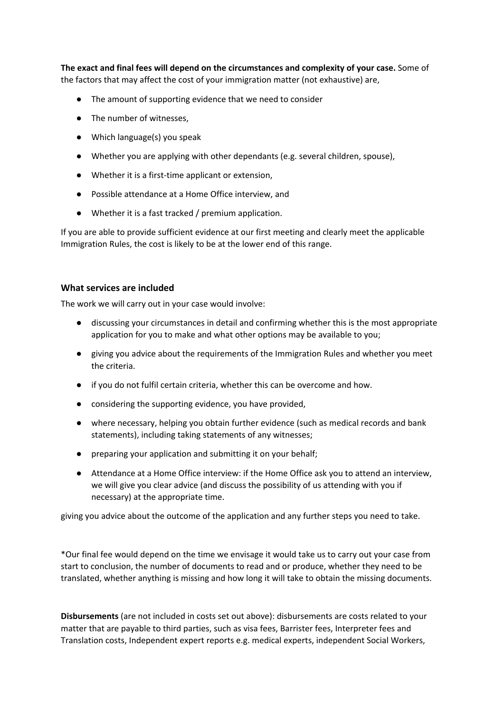**The exact and final fees will depend on the circumstances and complexity of your case.** Some of the factors that may affect the cost of your immigration matter (not exhaustive) are,

- The amount of supporting evidence that we need to consider
- The number of witnesses,
- Which language(s) you speak
- Whether you are applying with other dependants (e.g. several children, spouse),
- Whether it is a first-time applicant or extension,
- Possible attendance at a Home Office interview, and
- Whether it is a fast tracked / premium application.

If you are able to provide sufficient evidence at our first meeting and clearly meet the applicable Immigration Rules, the cost is likely to be at the lower end of this range.

# **What services are included**

The work we will carry out in your case would involve:

- discussing your circumstances in detail and confirming whether this is the most appropriate application for you to make and what other options may be available to you;
- giving you advice about the requirements of the Immigration Rules and whether you meet the criteria.
- if you do not fulfil certain criteria, whether this can be overcome and how.
- considering the supporting evidence, you have provided,
- where necessary, helping you obtain further evidence (such as medical records and bank statements), including taking statements of any witnesses;
- preparing your application and submitting it on your behalf;
- Attendance at a Home Office interview: if the Home Office ask you to attend an interview, we will give you clear advice (and discuss the possibility of us attending with you if necessary) at the appropriate time.

giving you advice about the outcome of the application and any further steps you need to take.

\*Our final fee would depend on the time we envisage it would take us to carry out your case from start to conclusion, the number of documents to read and or produce, whether they need to be translated, whether anything is missing and how long it will take to obtain the missing documents.

**Disbursements** (are not included in costs set out above): disbursements are costs related to your matter that are payable to third parties, such as visa fees, Barrister fees, Interpreter fees and Translation costs, Independent expert reports e.g. medical experts, independent Social Workers,